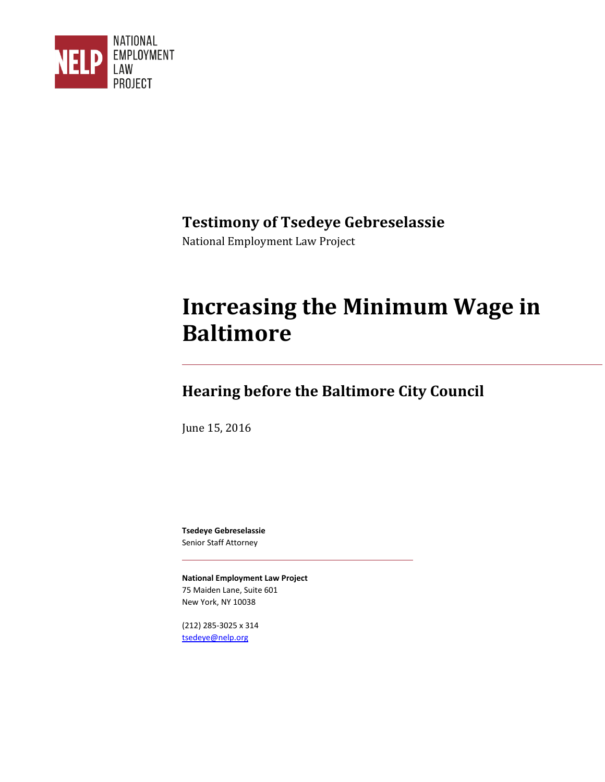

### **Testimony of Tsedeye Gebreselassie**

National Employment Law Project

# **Increasing the Minimum Wage in Baltimore**

## **Hearing before the Baltimore City Council**

June 15, 2016

**Tsedeye Gebreselassie**  Senior Staff Attorney

**National Employment Law Project**  75 Maiden Lane, Suite 601 New York, NY 10038

(212) 285-3025 x 314 [tsedeye@nelp.org](mailto:tsedeye@nelp.org)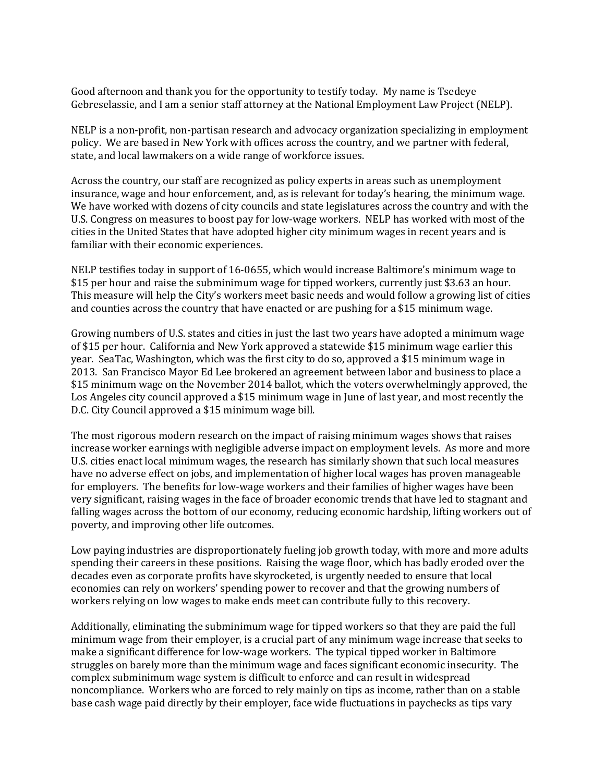Good afternoon and thank you for the opportunity to testify today. My name is Tsedeye Gebreselassie, and I am a senior staff attorney at the National Employment Law Project (NELP).

NELP is a non-profit, non-partisan research and advocacy organization specializing in employment policy. We are based in New York with offices across the country, and we partner with federal, state, and local lawmakers on a wide range of workforce issues.

Across the country, our staff are recognized as policy experts in areas such as unemployment insurance, wage and hour enforcement, and, as is relevant for today's hearing, the minimum wage. We have worked with dozens of city councils and state legislatures across the country and with the U.S. Congress on measures to boost pay for low-wage workers. NELP has worked with most of the cities in the United States that have adopted higher city minimum wages in recent years and is familiar with their economic experiences.

NELP testifies today in support of 16-0655, which would increase Baltimore's minimum wage to \$15 per hour and raise the subminimum wage for tipped workers, currently just \$3.63 an hour. This measure will help the City's workers meet basic needs and would follow a growing list of cities and counties across the country that have enacted or are pushing for a \$15 minimum wage.

Growing numbers of U.S. states and cities in just the last two years have adopted a minimum wage of \$15 per hour. California and New York approved a statewide \$15 minimum wage earlier this year. SeaTac, Washington, which was the first city to do so, approved a \$15 minimum wage in 2013. San Francisco Mayor Ed Lee brokered an agreement between labor and business to place a \$15 minimum wage on the November 2014 ballot, which the voters overwhelmingly approved, the Los Angeles city council approved a \$15 minimum wage in June of last year, and most recently the D.C. City Council approved a \$15 minimum wage bill.

The most rigorous modern research on the impact of raising minimum wages shows that raises increase worker earnings with negligible adverse impact on employment levels. As more and more U.S. cities enact local minimum wages, the research has similarly shown that such local measures have no adverse effect on jobs, and implementation of higher local wages has proven manageable for employers. The benefits for low-wage workers and their families of higher wages have been very significant, raising wages in the face of broader economic trends that have led to stagnant and falling wages across the bottom of our economy, reducing economic hardship, lifting workers out of poverty, and improving other life outcomes.

Low paying industries are disproportionately fueling job growth today, with more and more adults spending their careers in these positions. Raising the wage floor, which has badly eroded over the decades even as corporate profits have skyrocketed, is urgently needed to ensure that local economies can rely on workers' spending power to recover and that the growing numbers of workers relying on low wages to make ends meet can contribute fully to this recovery.

Additionally, eliminating the subminimum wage for tipped workers so that they are paid the full minimum wage from their employer, is a crucial part of any minimum wage increase that seeks to make a significant difference for low-wage workers. The typical tipped worker in Baltimore struggles on barely more than the minimum wage and faces significant economic insecurity. The complex subminimum wage system is difficult to enforce and can result in widespread noncompliance. Workers who are forced to rely mainly on tips as income, rather than on a stable base cash wage paid directly by their employer, face wide fluctuations in paychecks as tips vary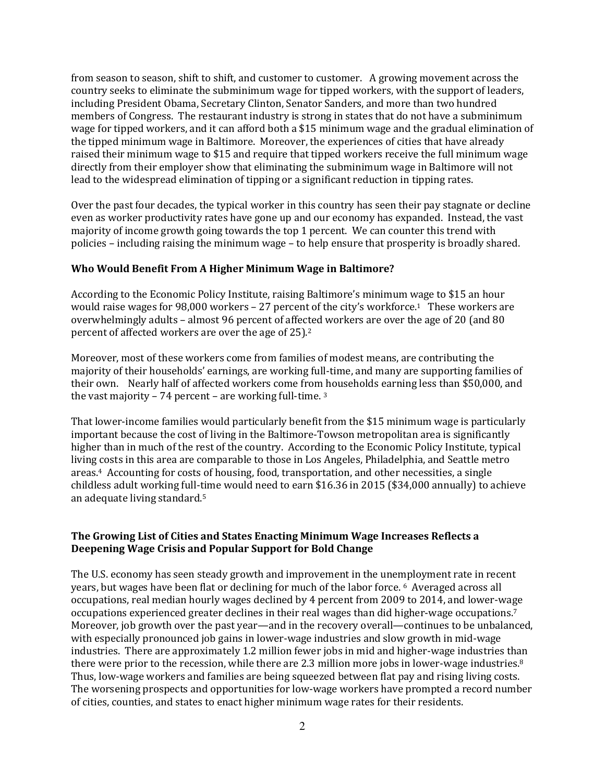from season to season, shift to shift, and customer to customer. A growing movement across the country seeks to eliminate the subminimum wage for tipped workers, with the support of leaders, including President Obama, Secretary Clinton, Senator Sanders, and more than two hundred members of Congress. The restaurant industry is strong in states that do not have a subminimum wage for tipped workers, and it can afford both a \$15 minimum wage and the gradual elimination of the tipped minimum wage in Baltimore. Moreover, the experiences of cities that have already raised their minimum wage to \$15 and require that tipped workers receive the full minimum wage directly from their employer show that eliminating the subminimum wage in Baltimore will not lead to the widespread elimination of tipping or a significant reduction in tipping rates.

Over the past four decades, the typical worker in this country has seen their pay stagnate or decline even as worker productivity rates have gone up and our economy has expanded. Instead, the vast majority of income growth going towards the top 1 percent. We can counter this trend with policies – including raising the minimum wage – to help ensure that prosperity is broadly shared.

#### **Who Would Benefit From A Higher Minimum Wage in Baltimore?**

According to the Economic Policy Institute, raising Baltimore's minimum wage to \$15 an hour would raise wages for 98,000 workers - 27 percent of the city's workforce.<sup>1</sup> These workers are overwhelmingly adults – almost 96 percent of affected workers are over the age of 20 (and 80 percent of affected workers are over the age of 25).<sup>2</sup>

Moreover, most of these workers come from families of modest means, are contributing the majority of their households' earnings, are working full-time, and many are supporting families of their own. Nearly half of affected workers come from households earning less than \$50,000, and the vast majority – 74 percent – are working full-time. <sup>3</sup>

That lower-income families would particularly benefit from the \$15 minimum wage is particularly important because the cost of living in the Baltimore-Towson metropolitan area is significantly higher than in much of the rest of the country. According to the Economic Policy Institute, typical living costs in this area are comparable to those in Los Angeles, Philadelphia, and Seattle metro areas.4 Accounting for costs of housing, food, transportation, and other necessities, a single childless adult working full-time would need to earn \$16.36 in 2015 (\$34,000 annually) to achieve an adequate living standard.<sup>5</sup>

#### **The Growing List of Cities and States Enacting Minimum Wage Increases Reflects a Deepening Wage Crisis and Popular Support for Bold Change**

The U.S. economy has seen steady growth and improvement in the unemployment rate in recent years, but wages have been flat or declining for much of the labor force. 6 Averaged across all occupations, real median hourly wages declined by 4 percent from 2009 to 2014, and lower-wage occupations experienced greater declines in their real wages than did higher-wage occupations.<sup>7</sup> Moreover, job growth over the past year—and in the recovery overall—continues to be unbalanced, with especially pronounced job gains in lower-wage industries and slow growth in mid-wage industries. There are approximately 1.2 million fewer jobs in mid and higher-wage industries than there were prior to the recession, while there are 2.3 million more jobs in lower-wage industries.<sup>8</sup> Thus, low-wage workers and families are being squeezed between flat pay and rising living costs. The worsening prospects and opportunities for low-wage workers have prompted a record number of cities, counties, and states to enact higher minimum wage rates for their residents.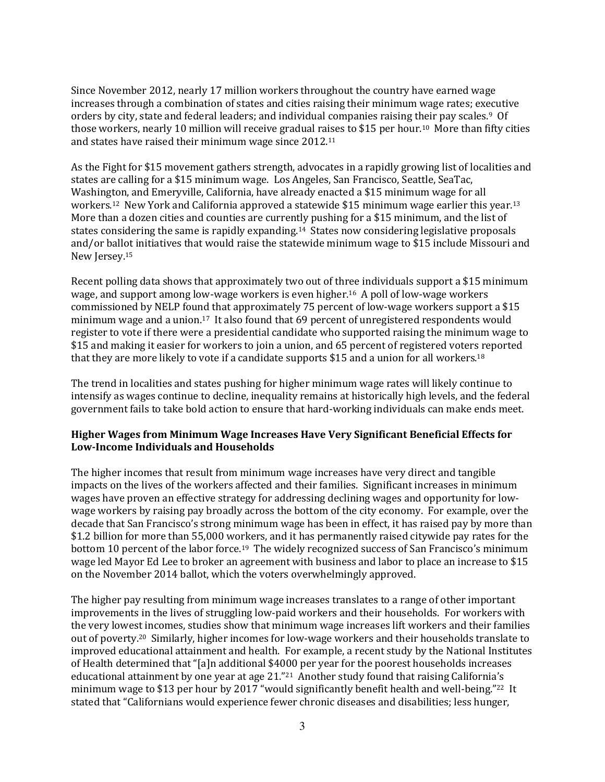Since November 2012, nearly 17 million workers throughout the country have earned wage increases through a combination of states and cities raising their minimum wage rates; executive orders by city, state and federal leaders; and individual companies raising their pay scales.9 Of those workers, nearly 10 million will receive gradual raises to \$15 per hour.10 More than fifty cities and states have raised their minimum wage since 2012.<sup>11</sup>

As the Fight for \$15 movement gathers strength, advocates in a rapidly growing list of localities and states are calling for a \$15 minimum wage. Los Angeles, San Francisco, Seattle, SeaTac, Washington, and Emeryville, California, have already enacted a \$15 minimum wage for all workers.<sup>12</sup> New York and California approved a statewide \$15 minimum wage earlier this year.<sup>13</sup> More than a dozen cities and counties are currently pushing for a \$15 minimum, and the list of states considering the same is rapidly expanding.14 States now considering legislative proposals and/or ballot initiatives that would raise the statewide minimum wage to \$15 include Missouri and New Jersey.<sup>15</sup>

Recent polling data shows that approximately two out of three individuals support a \$15 minimum wage, and support among low-wage workers is even higher.16 A poll of low-wage workers commissioned by NELP found that approximately 75 percent of low-wage workers support a \$15 minimum wage and a union.17 It also found that 69 percent of unregistered respondents would register to vote if there were a presidential candidate who supported raising the minimum wage to \$15 and making it easier for workers to join a union, and 65 percent of registered voters reported that they are more likely to vote if a candidate supports \$15 and a union for all workers.<sup>18</sup>

The trend in localities and states pushing for higher minimum wage rates will likely continue to intensify as wages continue to decline, inequality remains at historically high levels, and the federal government fails to take bold action to ensure that hard-working individuals can make ends meet.

#### **Higher Wages from Minimum Wage Increases Have Very Significant Beneficial Effects for Low-Income Individuals and Households**

The higher incomes that result from minimum wage increases have very direct and tangible impacts on the lives of the workers affected and their families. Significant increases in minimum wages have proven an effective strategy for addressing declining wages and opportunity for lowwage workers by raising pay broadly across the bottom of the city economy. For example, over the decade that San Francisco's strong minimum wage has been in effect, it has raised pay by more than \$1.2 billion for more than 55,000 workers, and it has permanently raised citywide pay rates for the bottom 10 percent of the labor force.<sup>19</sup> The widely recognized success of San Francisco's minimum wage led Mayor Ed Lee to broker an agreement with business and labor to place an increase to \$15 on the November 2014 ballot, which the voters overwhelmingly approved.

The higher pay resulting from minimum wage increases translates to a range of other important improvements in the lives of struggling low-paid workers and their households. For workers with the very lowest incomes, studies show that minimum wage increases lift workers and their families out of poverty.20 Similarly, higher incomes for low-wage workers and their households translate to improved educational attainment and health. For example, a recent study by the National Institutes of Health determined that "[a]n additional \$4000 per year for the poorest households increases educational attainment by one year at age 21."<sup>21</sup> Another study found that raising California's minimum wage to \$13 per hour by 2017 "would significantly benefit health and well-being." <sup>22</sup> It stated that "Californians would experience fewer chronic diseases and disabilities; less hunger,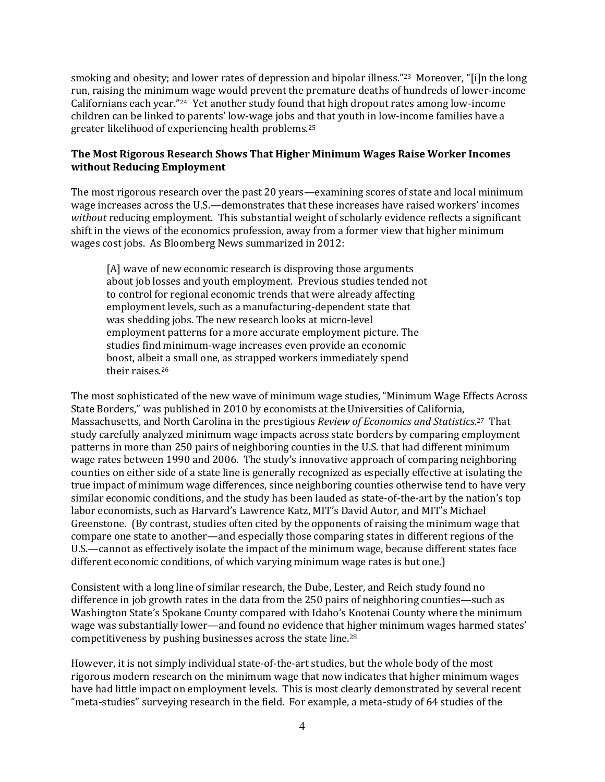smoking and obesity; and lower rates of depression and bipolar illness."<sup>23</sup> Moreover, "[i]n the long run, raising the minimum wage would prevent the premature deaths of hundreds of lower-income Californians each year."<sup>24</sup> Yet another study found that high dropout rates among low-income children can be linked to parents' low-wage jobs and that youth in low-income families have a greater likelihood of experiencing health problems.<sup>25</sup>

#### **The Most Rigorous Research Shows That Higher Minimum Wages Raise Worker Incomes without Reducing Employment**

The most rigorous research over the past 20 years—examining scores of state and local minimum wage increases across the U.S.—demonstrates that these increases have raised workers' incomes *without* reducing employment. This substantial weight of scholarly evidence reflects a significant shift in the views of the economics profession, away from a former view that higher minimum wages cost jobs. As Bloomberg News summarized in 2012:

[A] wave of new economic research is disproving those arguments about job losses and youth employment. Previous studies tended not to control for regional economic trends that were already affecting employment levels, such as a manufacturing-dependent state that was shedding jobs. The new research looks at micro-level employment patterns for a more accurate employment picture. The studies find minimum-wage increases even provide an economic boost, albeit a small one, as strapped workers immediately spend their raises.<sup>26</sup>

The most sophisticated of the new wave of minimum wage studies, "Minimum Wage Effects Across State Borders," was published in 2010 by economists at the Universities of California, Massachusetts, and North Carolina in the prestigious *Review of Economics and Statistics*. <sup>27</sup> That study carefully analyzed minimum wage impacts across state borders by comparing employment patterns in more than 250 pairs of neighboring counties in the U.S. that had different minimum wage rates between 1990 and 2006. The study's innovative approach of comparing neighboring counties on either side of a state line is generally recognized as especially effective at isolating the true impact of minimum wage differences, since neighboring counties otherwise tend to have very similar economic conditions, and the study has been lauded as state-of-the-art by the nation's top labor economists, such as Harvard's Lawrence Katz, MIT's David Autor, and MIT's Michael Greenstone. (By contrast, studies often cited by the opponents of raising the minimum wage that compare one state to another—and especially those comparing states in different regions of the U.S.—cannot as effectively isolate the impact of the minimum wage, because different states face different economic conditions, of which varying minimum wage rates is but one.)

Consistent with a long line of similar research, the Dube, Lester, and Reich study found no difference in job growth rates in the data from the 250 pairs of neighboring counties—such as Washington State's Spokane County compared with Idaho's Kootenai County where the minimum wage was substantially lower—and found no evidence that higher minimum wages harmed states' competitiveness by pushing businesses across the state line.<sup>28</sup>

However, it is not simply individual state-of-the-art studies, but the whole body of the most rigorous modern research on the minimum wage that now indicates that higher minimum wages have had little impact on employment levels. This is most clearly demonstrated by several recent "meta-studies" surveying research in the field. For example, a meta-study of 64 studies of the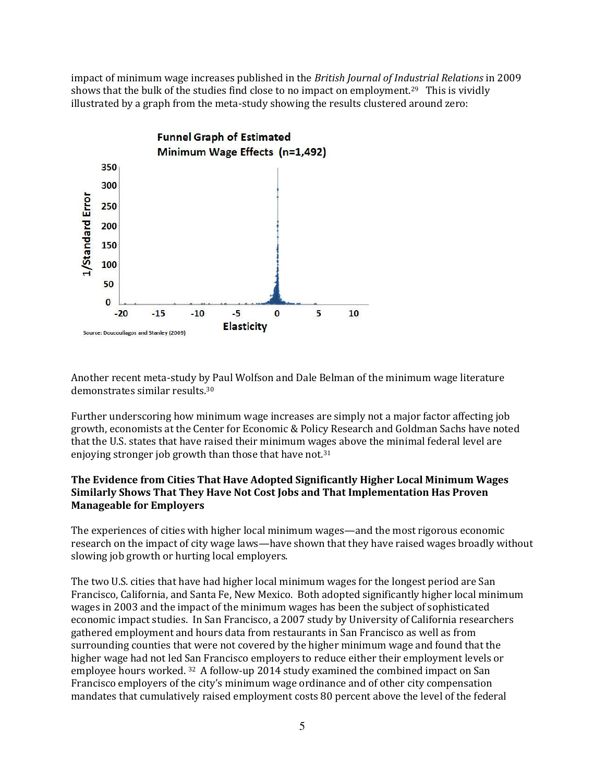impact of minimum wage increases published in the *British Journal of Industrial Relations* in 2009 shows that the bulk of the studies find close to no impact on employment.<sup>29</sup> This is vividly illustrated by a graph from the meta-study showing the results clustered around zero:



Another recent meta-study by Paul Wolfson and Dale Belman of the minimum wage literature demonstrates similar results.<sup>30</sup>

Further underscoring how minimum wage increases are simply not a major factor affecting job growth, economists at the Center for Economic & Policy Research and Goldman Sachs have noted that the U.S. states that have raised their minimum wages above the minimal federal level are enjoying stronger job growth than those that have not.<sup>31</sup>

#### **The Evidence from Cities That Have Adopted Significantly Higher Local Minimum Wages Similarly Shows That They Have Not Cost Jobs and That Implementation Has Proven Manageable for Employers**

The experiences of cities with higher local minimum wages—and the most rigorous economic research on the impact of city wage laws—have shown that they have raised wages broadly without slowing job growth or hurting local employers.

The two U.S. cities that have had higher local minimum wages for the longest period are San Francisco, California, and Santa Fe, New Mexico. Both adopted significantly higher local minimum wages in 2003 and the impact of the minimum wages has been the subject of sophisticated economic impact studies. In San Francisco, a 2007 study by University of California researchers gathered employment and hours data from restaurants in San Francisco as well as from surrounding counties that were not covered by the higher minimum wage and found that the higher wage had not led San Francisco employers to reduce either their employment levels or employee hours worked. 32 A follow-up 2014 study examined the combined impact on San Francisco employers of the city's minimum wage ordinance and of other city compensation mandates that cumulatively raised employment costs 80 percent above the level of the federal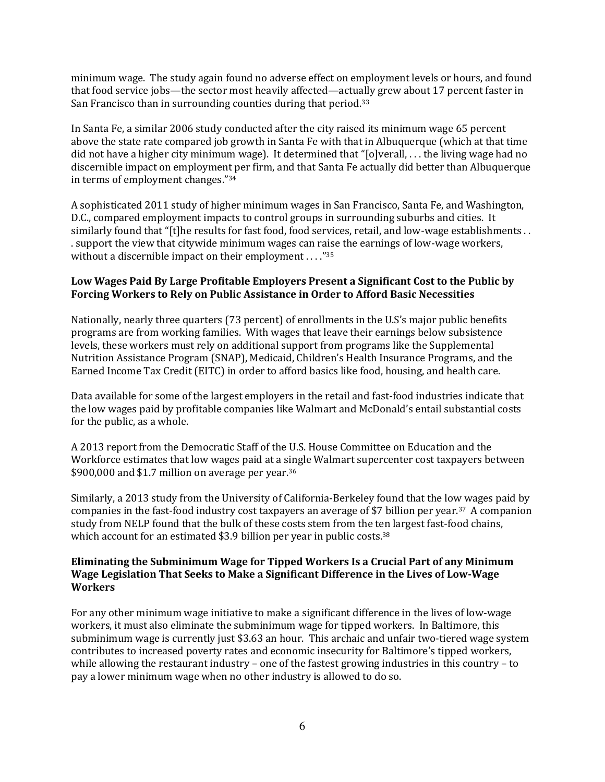minimum wage. The study again found no adverse effect on employment levels or hours, and found that food service jobs—the sector most heavily affected—actually grew about 17 percent faster in San Francisco than in surrounding counties during that period.<sup>33</sup>

In Santa Fe, a similar 2006 study conducted after the city raised its minimum wage 65 percent above the state rate compared job growth in Santa Fe with that in Albuquerque (which at that time did not have a higher city minimum wage). It determined that "[o]verall, . . . the living wage had no discernible impact on employment per firm, and that Santa Fe actually did better than Albuquerque in terms of employment changes."<sup>34</sup>

A sophisticated 2011 study of higher minimum wages in San Francisco, Santa Fe, and Washington, D.C., compared employment impacts to control groups in surrounding suburbs and cities. It similarly found that "[t]he results for fast food, food services, retail, and low-wage establishments . . . support the view that citywide minimum wages can raise the earnings of low-wage workers, without a discernible impact on their employment . . . . "35

#### **Low Wages Paid By Large Profitable Employers Present a Significant Cost to the Public by Forcing Workers to Rely on Public Assistance in Order to Afford Basic Necessities**

Nationally, nearly three quarters (73 percent) of enrollments in the U.S's major public benefits programs are from working families. With wages that leave their earnings below subsistence levels, these workers must rely on additional support from programs like the Supplemental Nutrition Assistance Program (SNAP), Medicaid, Children's Health Insurance Programs, and the Earned Income Tax Credit (EITC) in order to afford basics like food, housing, and health care.

Data available for some of the largest employers in the retail and fast-food industries indicate that the low wages paid by profitable companies like Walmart and McDonald's entail substantial costs for the public, as a whole.

A 2013 report from the Democratic Staff of the U.S. House Committee on Education and the Workforce estimates that low wages paid at a single Walmart supercenter cost taxpayers between \$900,000 and \$1.7 million on average per year.<sup>36</sup>

Similarly, a 2013 study from the University of California-Berkeley found that the low wages paid by companies in the fast-food industry cost taxpayers an average of \$7 billion per year.37 A companion study from NELP found that the bulk of these costs stem from the ten largest fast-food chains, which account for an estimated \$3.9 billion per year in public costs.<sup>38</sup>

#### **Eliminating the Subminimum Wage for Tipped Workers Is a Crucial Part of any Minimum Wage Legislation That Seeks to Make a Significant Difference in the Lives of Low-Wage Workers**

For any other minimum wage initiative to make a significant difference in the lives of low-wage workers, it must also eliminate the subminimum wage for tipped workers. In Baltimore, this subminimum wage is currently just \$3.63 an hour. This archaic and unfair two-tiered wage system contributes to increased poverty rates and economic insecurity for Baltimore's tipped workers, while allowing the restaurant industry – one of the fastest growing industries in this country – to pay a lower minimum wage when no other industry is allowed to do so.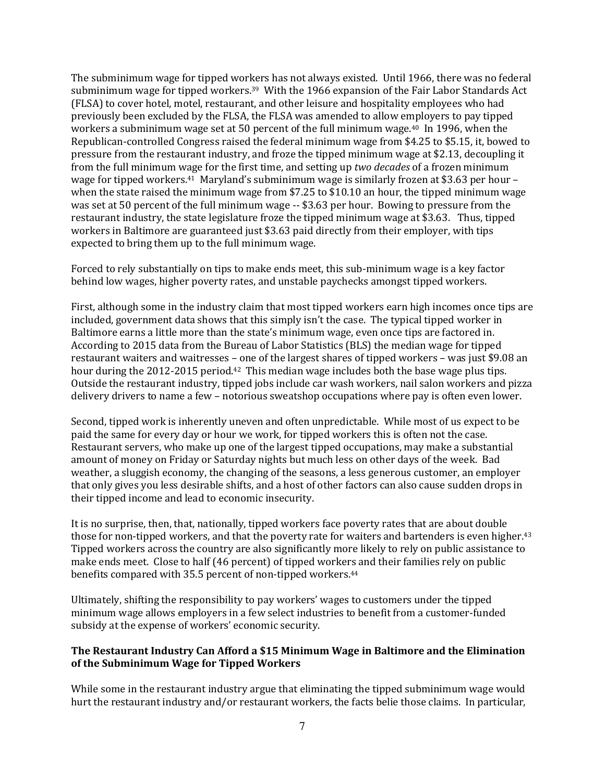The subminimum wage for tipped workers has not always existed. Until 1966, there was no federal subminimum wage for tipped workers.<sup>39</sup> With the 1966 expansion of the Fair Labor Standards Act (FLSA) to cover hotel, motel, restaurant, and other leisure and hospitality employees who had previously been excluded by the FLSA, the FLSA was amended to allow employers to pay tipped workers a subminimum wage set at 50 percent of the full minimum wage.40 In 1996, when the Republican-controlled Congress raised the federal minimum wage from \$4.25 to \$5.15, it, bowed to pressure from the restaurant industry, and froze the tipped minimum wage at \$2.13, decoupling it from the full minimum wage for the first time, and setting up *two decades* of a frozen minimum wage for tipped workers.<sup>41</sup> Maryland's subminimum wage is similarly frozen at \$3.63 per hour – when the state raised the minimum wage from \$7.25 to \$10.10 an hour, the tipped minimum wage was set at 50 percent of the full minimum wage -- \$3.63 per hour. Bowing to pressure from the restaurant industry, the state legislature froze the tipped minimum wage at \$3.63. Thus, tipped workers in Baltimore are guaranteed just \$3.63 paid directly from their employer, with tips expected to bring them up to the full minimum wage.

Forced to rely substantially on tips to make ends meet, this sub-minimum wage is a key factor behind low wages, higher poverty rates, and unstable paychecks amongst tipped workers.

First, although some in the industry claim that most tipped workers earn high incomes once tips are included, government data shows that this simply isn't the case. The typical tipped worker in Baltimore earns a little more than the state's minimum wage, even once tips are factored in. According to 2015 data from the Bureau of Labor Statistics (BLS) the median wage for tipped restaurant waiters and waitresses – one of the largest shares of tipped workers – was just \$9.08 an hour during the 2012-2015 period.<sup>42</sup> This median wage includes both the base wage plus tips. Outside the restaurant industry, tipped jobs include car wash workers, nail salon workers and pizza delivery drivers to name a few – notorious sweatshop occupations where pay is often even lower.

Second, tipped work is inherently uneven and often unpredictable. While most of us expect to be paid the same for every day or hour we work, for tipped workers this is often not the case. Restaurant servers, who make up one of the largest tipped occupations, may make a substantial amount of money on Friday or Saturday nights but much less on other days of the week. Bad weather, a sluggish economy, the changing of the seasons, a less generous customer, an employer that only gives you less desirable shifts, and a host of other factors can also cause sudden drops in their tipped income and lead to economic insecurity.

It is no surprise, then, that, nationally, tipped workers face poverty rates that are about double those for non-tipped workers, and that the poverty rate for waiters and bartenders is even higher.<sup>43</sup> Tipped workers across the country are also significantly more likely to rely on public assistance to make ends meet. Close to half (46 percent) of tipped workers and their families rely on public benefits compared with 35.5 percent of non-tipped workers.<sup>44</sup>

Ultimately, shifting the responsibility to pay workers' wages to customers under the tipped minimum wage allows employers in a few select industries to benefit from a customer-funded subsidy at the expense of workers' economic security.

#### **The Restaurant Industry Can Afford a \$15 Minimum Wage in Baltimore and the Elimination of the Subminimum Wage for Tipped Workers**

While some in the restaurant industry argue that eliminating the tipped subminimum wage would hurt the restaurant industry and/or restaurant workers, the facts belie those claims. In particular,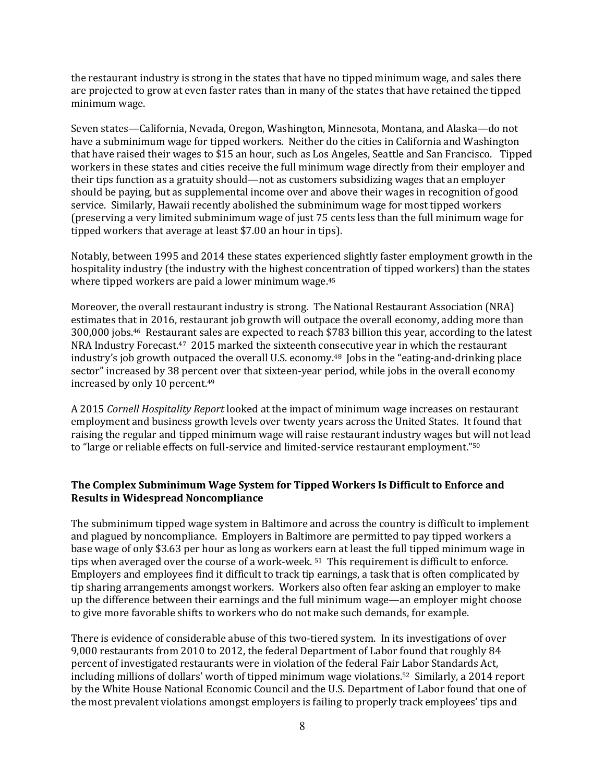the restaurant industry is strong in the states that have no tipped minimum wage, and sales there are projected to grow at even faster rates than in many of the states that have retained the tipped minimum wage.

Seven states—California, Nevada, Oregon, Washington, Minnesota, Montana, and Alaska—do not have a subminimum wage for tipped workers. Neither do the cities in California and Washington that have raised their wages to \$15 an hour, such as Los Angeles, Seattle and San Francisco. Tipped workers in these states and cities receive the full minimum wage directly from their employer and their tips function as a gratuity should—not as customers subsidizing wages that an employer should be paying, but as supplemental income over and above their wages in recognition of good service. Similarly, Hawaii recently abolished the subminimum wage for most tipped workers (preserving a very limited subminimum wage of just 75 cents less than the full minimum wage for tipped workers that average at least \$7.00 an hour in tips).

Notably, between 1995 and 2014 these states experienced slightly faster employment growth in the hospitality industry (the industry with the highest concentration of tipped workers) than the states where tipped workers are paid a lower minimum wage.<sup>45</sup>

Moreover, the overall restaurant industry is strong. The National Restaurant Association (NRA) estimates that in 2016, restaurant job growth will outpace the overall economy, adding more than 300,000 jobs.46 Restaurant sales are expected to reach \$783 billion this year, according to the latest NRA Industry Forecast.47 2015 marked the sixteenth consecutive year in which the restaurant industry's job growth outpaced the overall U.S. economy.<sup>48</sup> Jobs in the "eating-and-drinking place sector" increased by 38 percent over that sixteen-year period, while jobs in the overall economy increased by only 10 percent.<sup>49</sup>

A 2015 *Cornell Hospitality Report* looked at the impact of minimum wage increases on restaurant employment and business growth levels over twenty years across the United States. It found that raising the regular and tipped minimum wage will raise restaurant industry wages but will not lead to "large or reliable effects on full-service and limited-service restaurant employment."<sup>50</sup>

#### **The Complex Subminimum Wage System for Tipped Workers Is Difficult to Enforce and Results in Widespread Noncompliance**

The subminimum tipped wage system in Baltimore and across the country is difficult to implement and plagued by noncompliance. Employers in Baltimore are permitted to pay tipped workers a base wage of only \$3.63 per hour as long as workers earn at least the full tipped minimum wage in tips when averaged over the course of a work-week. <sup>51</sup> This requirement is difficult to enforce. Employers and employees find it difficult to track tip earnings, a task that is often complicated by tip sharing arrangements amongst workers. Workers also often fear asking an employer to make up the difference between their earnings and the full minimum wage—an employer might choose to give more favorable shifts to workers who do not make such demands, for example.

There is evidence of considerable abuse of this two-tiered system. In its investigations of over 9,000 restaurants from 2010 to 2012, the federal Department of Labor found that roughly 84 percent of investigated restaurants were in violation of the federal Fair Labor Standards Act, including millions of dollars' worth of tipped minimum wage violations.<sup>52</sup> Similarly, a 2014 report by the White House National Economic Council and the U.S. Department of Labor found that one of the most prevalent violations amongst employers is failing to properly track employees' tips and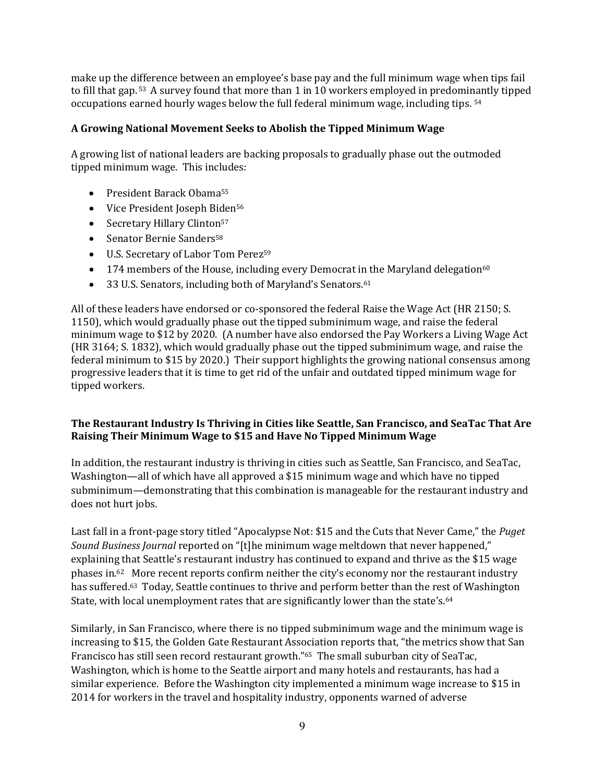make up the difference between an employee's base pay and the full minimum wage when tips fail to fill that gap. <sup>53</sup> A survey found that more than 1 in 10 workers employed in predominantly tipped occupations earned hourly wages below the full federal minimum wage, including tips. <sup>54</sup>

#### **A Growing National Movement Seeks to Abolish the Tipped Minimum Wage**

A growing list of national leaders are backing proposals to gradually phase out the outmoded tipped minimum wage. This includes:

- President Barack Obama<sup>55</sup>
- Vice President Joseph Biden<sup>56</sup>
- Secretary Hillary Clinton<sup>57</sup>
- Senator Bernie Sanders<sup>58</sup>
- U.S. Secretary of Labor Tom Perez<sup>59</sup>
- $\bullet$  174 members of the House, including every Democrat in the Maryland delegation<sup>60</sup>
- 33 U.S. Senators, including both of Maryland's Senators.<sup>61</sup>

All of these leaders have endorsed or co-sponsored the federal Raise the Wage Act (HR 2150; S. 1150), which would gradually phase out the tipped subminimum wage, and raise the federal minimum wage to \$12 by 2020. (A number have also endorsed the Pay Workers a Living Wage Act (HR 3164; S. 1832), which would gradually phase out the tipped subminimum wage, and raise the federal minimum to \$15 by 2020.) Their support highlights the growing national consensus among progressive leaders that it is time to get rid of the unfair and outdated tipped minimum wage for tipped workers.

#### **The Restaurant Industry Is Thriving in Cities like Seattle, San Francisco, and SeaTac That Are Raising Their Minimum Wage to \$15 and Have No Tipped Minimum Wage**

In addition, the restaurant industry is thriving in cities such as Seattle, San Francisco, and SeaTac, Washington—all of which have all approved a \$15 minimum wage and which have no tipped subminimum—demonstrating that this combination is manageable for the restaurant industry and does not hurt jobs.

Last fall in a front-page story titled "Apocalypse Not: \$15 and the Cuts that Never Came," the *Puget Sound Business Journal* reported on "[t]he minimum wage meltdown that never happened," explaining that Seattle's restaurant industry has continued to expand and thrive as the \$15 wage phases in.62 More recent reports confirm neither the city's economy nor the restaurant industry has suffered.63 Today, Seattle continues to thrive and perform better than the rest of Washington State, with local unemployment rates that are significantly lower than the state's.<sup>64</sup>

Similarly, in San Francisco, where there is no tipped subminimum wage and the minimum wage is increasing to \$15, the Golden Gate Restaurant Association reports that, "the metrics show that San Francisco has still seen record restaurant growth."<sup>65</sup> The small suburban city of SeaTac, Washington, which is home to the Seattle airport and many hotels and restaurants, has had a similar experience. Before the Washington city implemented a minimum wage increase to \$15 in 2014 for workers in the travel and hospitality industry, opponents warned of adverse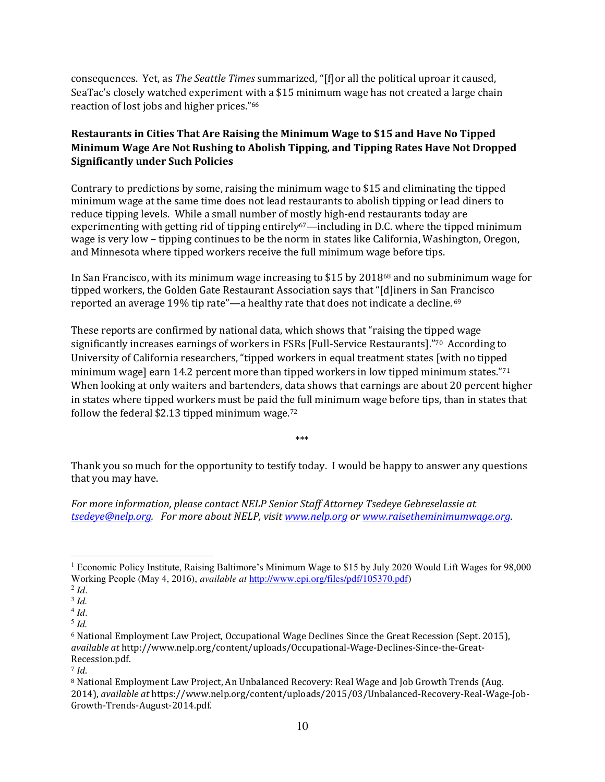consequences. Yet, as *The Seattle Times* summarized, "[f]or all the political uproar it caused, SeaTac's closely watched experiment with a \$15 minimum wage has not created a large chain reaction of lost jobs and higher prices."<sup>66</sup>

#### **Restaurants in Cities That Are Raising the Minimum Wage to \$15 and Have No Tipped Minimum Wage Are Not Rushing to Abolish Tipping, and Tipping Rates Have Not Dropped Significantly under Such Policies**

Contrary to predictions by some, raising the minimum wage to \$15 and eliminating the tipped minimum wage at the same time does not lead restaurants to abolish tipping or lead diners to reduce tipping levels. While a small number of mostly high-end restaurants today are experimenting with getting rid of tipping entirely<sup>67</sup>—including in D.C. where the tipped minimum wage is very low – tipping continues to be the norm in states like California, Washington, Oregon, and Minnesota where tipped workers receive the full minimum wage before tips.

In San Francisco, with its minimum wage increasing to \$15 by 201868 and no subminimum wage for tipped workers, the Golden Gate Restaurant Association says that "[d]iners in San Francisco reported an average 19% tip rate"—a healthy rate that does not indicate a decline. <sup>69</sup>

These reports are confirmed by national data, which shows that "raising the tipped wage significantly increases earnings of workers in FSRs [Full-Service Restaurants]."<sup>70</sup> According to University of California researchers, "tipped workers in equal treatment states [with no tipped minimum wage] earn 14.2 percent more than tipped workers in low tipped minimum states."<sup>71</sup> When looking at only waiters and bartenders, data shows that earnings are about 20 percent higher in states where tipped workers must be paid the full minimum wage before tips, than in states that follow the federal \$2.13 tipped minimum wage.<sup>72</sup>

\*\*\*

Thank you so much for the opportunity to testify today. I would be happy to answer any questions that you may have.

*For more information, please contact NELP Senior Staff Attorney Tsedeye Gebreselassie at [tsedeye@nelp.org.](mailto:tsedeye@nelp.org) For more about NELP, visit [www.nelp.org](http://www.nelp.org/) or [www.raisetheminimumwage.org.](http://www.raisetheminimumwage.org/)* 

 $\overline{a}$ 

<sup>1</sup> Economic Policy Institute, Raising Baltimore's Minimum Wage to \$15 by July 2020 Would Lift Wages for 98,000 Working People (May 4, 2016), *available at* [http://www.epi.org/files/pdf/105370.pdf\)](http://www.epi.org/files/pdf/105370.pdf)

 $^2$ *Id.* 

<sup>3</sup> *Id.* 

<sup>4</sup> *Id*.

<sup>5</sup> *Id.* 

<sup>6</sup> National Employment Law Project, Occupational Wage Declines Since the Great Recession (Sept. 2015), *available at* http://www.nelp.org/content/uploads/Occupational-Wage-Declines-Since-the-Great-Recession.pdf.

<sup>7</sup> *Id*.

<sup>8</sup> National Employment Law Project, An Unbalanced Recovery: Real Wage and Job Growth Trends (Aug. 2014), *available at* https://www.nelp.org/content/uploads/2015/03/Unbalanced-Recovery-Real-Wage-Job-Growth-Trends-August-2014.pdf.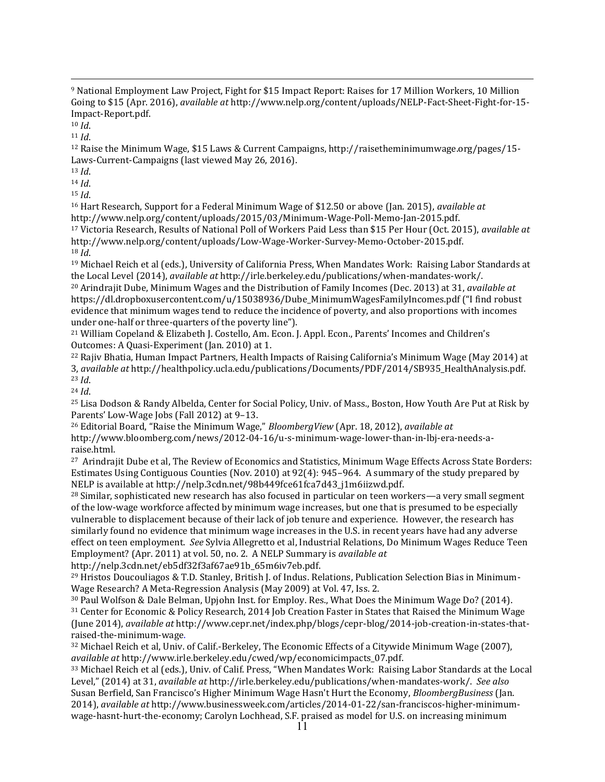$\overline{a}$ <sup>9</sup> National Employment Law Project, Fight for \$15 Impact Report: Raises for 17 Million Workers, 10 Million Going to \$15 (Apr. 2016), *available at* http://www.nelp.org/content/uploads/NELP-Fact-Sheet-Fight-for-15- Impact-Report.pdf.

 $10$  *Id.* 

<sup>11</sup> *Id*.

<sup>12</sup> Raise the Minimum Wage, \$15 Laws & Current Campaigns, http://raisetheminimumwage.org/pages/15- Laws-Current-Campaigns (last viewed May 26, 2016).

<sup>13</sup> *Id*.

<sup>14</sup> *Id*.

<sup>15</sup> *Id*.

<sup>16</sup> Hart Research, Support for a Federal Minimum Wage of \$12.50 or above (Jan. 2015), *available at*  http://www.nelp.org/content/uploads/2015/03/Minimum-Wage-Poll-Memo-Jan-2015.pdf. <sup>17</sup> Victoria Research, Results of National Poll of Workers Paid Less than \$15 Per Hour (Oct. 2015), *available at* http://www.nelp.org/content/uploads/Low-Wage-Worker-Survey-Memo-October-2015.pdf.

<sup>18</sup> *Id*.

<sup>19</sup> Michael Reich et al (eds.), University of California Press, When Mandates Work: Raising Labor Standards at the Local Level (2014), *available at* http://irle.berkeley.edu/publications/when-mandates-work/.

<sup>20</sup> Arindrajit Dube, Minimum Wages and the Distribution of Family Incomes (Dec. 2013) at 31, *available at*  https://dl.dropboxusercontent.com/u/15038936/Dube\_MinimumWagesFamilyIncomes.pdf ("I find robust evidence that minimum wages tend to reduce the incidence of poverty, and also proportions with incomes under one-half or three-quarters of the poverty line").

<sup>21</sup> William Copeland & Elizabeth J. Costello, Am. Econ. J. Appl. Econ., Parents' Incomes and Children's Outcomes: A Quasi-Experiment (Jan. 2010) at 1.

<sup>22</sup> Rajiv Bhatia, Human Impact Partners, Health Impacts of Raising California's Minimum Wage (May 2014) at 3, *available at* http://healthpolicy.ucla.edu/publications/Documents/PDF/2014/SB935\_HealthAnalysis.pdf. <sup>23</sup> *Id*.

<sup>24</sup> *Id*.

<sup>25</sup> Lisa Dodson & Randy Albelda, Center for Social Policy, Univ. of Mass., Boston, How Youth Are Put at Risk by Parents' Low-Wage Jobs (Fall 2012) at 9–13.

<sup>26</sup> Editorial Board, "Raise the Minimum Wage," *BloombergView* (Apr. 18, 2012), *available at* http://www.bloomberg.com/news/2012-04-16/u-s-minimum-wage-lower-than-in-lbj-era-needs-araise.html.

<sup>27</sup> Arindrajit Dube et al, The Review of Economics and Statistics, Minimum Wage Effects Across State Borders: Estimates Using Contiguous Counties (Nov. 2010) at 92(4): 945–964. A summary of the study prepared by NELP is available at http://nelp.3cdn.net/98b449fce61fca7d43\_j1m6iizwd.pdf.

<sup>28</sup> Similar, sophisticated new research has also focused in particular on teen workers—a very small segment of the low-wage workforce affected by minimum wage increases, but one that is presumed to be especially vulnerable to displacement because of their lack of job tenure and experience. However, the research has similarly found no evidence that minimum wage increases in the U.S. in recent years have had any adverse effect on teen employment. *See* Sylvia Allegretto et al, Industrial Relations, Do Minimum Wages Reduce Teen Employment? (Apr. 2011) at vol. 50, no. 2. A NELP Summary is *available at* 

http://nelp.3cdn.net/eb5df32f3af67ae91b\_65m6iv7eb.pdf.

29 Hristos Doucouliagos & T.D. Stanley, British J. of Indus. Relations, Publication Selection Bias in Minimum-Wage Research? A Meta-Regression Analysis (May 2009) at Vol. 47, Iss. 2.

<sup>30</sup> Paul Wolfson & Dale Belman, Upjohn Inst. for Employ. Res., What Does the Minimum Wage Do? (2014).

<sup>31</sup> Center for Economic & Policy Research, 2014 Job Creation Faster in States that Raised the Minimum Wage (June 2014), *available at* http://www.cepr.net/index.php/blogs/cepr-blog/2014-job-creation-in-states-thatraised-the-minimum-wage.

<sup>32</sup> Michael Reich et al, Univ. of Calif.-Berkeley, The Economic Effects of a Citywide Minimum Wage (2007), *available at* http://www.irle.berkeley.edu/cwed/wp/economicimpacts\_07.pdf.

<sup>33</sup> Michael Reich et al (eds.), Univ. of Calif. Press, "When Mandates Work: Raising Labor Standards at the Local Level," (2014) at 31, *available at* http://irle.berkeley.edu/publications/when-mandates-work/. *See also* Susan Berfield, San Francisco's Higher Minimum Wage Hasn't Hurt the Economy, *BloombergBusiness* (Jan. 2014), *available at* http://www.businessweek.com/articles/2014-01-22/san-franciscos-higher-minimumwage-hasnt-hurt-the-economy; Carolyn Lochhead, S.F. praised as model for U.S. on increasing minimum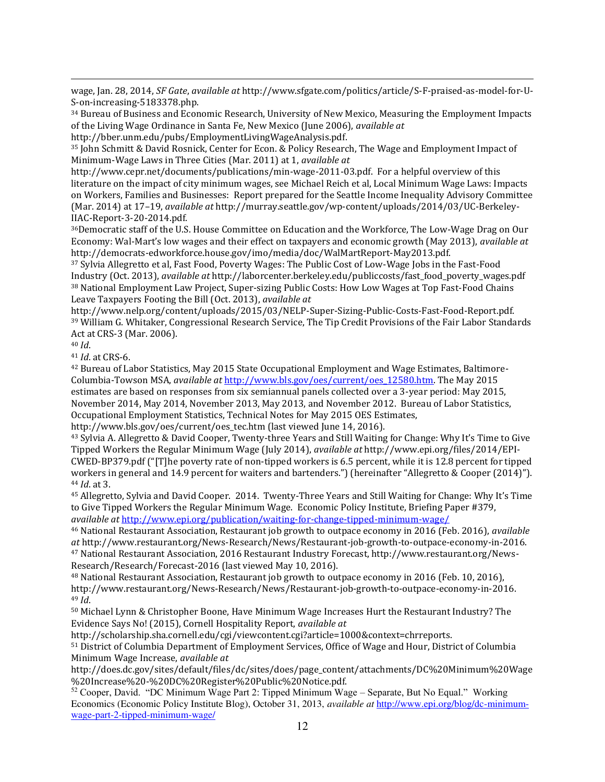$\overline{a}$ wage, Jan. 28, 2014, *SF Gate*, *available at* http://www.sfgate.com/politics/article/S-F-praised-as-model-for-U-S-on-increasing-5183378.php.

<sup>34</sup> Bureau of Business and Economic Research, University of New Mexico, Measuring the Employment Impacts of the Living Wage Ordinance in Santa Fe, New Mexico (June 2006), *available at*

http://bber.unm.edu/pubs/EmploymentLivingWageAnalysis.pdf.

<sup>35</sup> John Schmitt & David Rosnick, Center for Econ. & Policy Research, The Wage and Employment Impact of Minimum‐Wage Laws in Three Cities (Mar. 2011) at 1, *available at* 

http://www.cepr.net/documents/publications/min-wage-2011-03.pdf. For a helpful overview of this literature on the impact of city minimum wages, see Michael Reich et al, Local Minimum Wage Laws: Impacts on Workers, Families and Businesses: Report prepared for the Seattle Income Inequality Advisory Committee (Mar. 2014) at 17–19, *available at* http://murray.seattle.gov/wp-content/uploads/2014/03/UC-Berkeley-IIAC-Report-3-20-2014.pdf.

<sup>36</sup>Democratic staff of the U.S. House Committee on Education and the Workforce, The Low-Wage Drag on Our Economy: Wal-Mart's low wages and their effect on taxpayers and economic growth (May 2013), *available at* http://democrats-edworkforce.house.gov/imo/media/doc/WalMartReport-May2013.pdf.

<sup>37</sup> Sylvia Allegretto et al, Fast Food, Poverty Wages: The Public Cost of Low-Wage Jobs in the Fast-Food Industry (Oct. 2013), *available at* http://laborcenter.berkeley.edu/publiccosts/fast\_food\_poverty\_wages.pdf <sup>38</sup> National Employment Law Project, Super-sizing Public Costs: How Low Wages at Top Fast-Food Chains Leave Taxpayers Footing the Bill (Oct. 2013), *available at*

http://www.nelp.org/content/uploads/2015/03/NELP-Super-Sizing-Public-Costs-Fast-Food-Report.pdf. <sup>39</sup> William G. Whitaker, Congressional Research Service, The Tip Credit Provisions of the Fair Labor Standards Act at CRS-3 (Mar. 2006).

<sup>40</sup> *Id*.

<sup>41</sup> *Id*. at CRS-6.

42 Bureau of Labor Statistics, May 2015 State Occupational Employment and Wage Estimates, Baltimore-Columbia-Towson MSA, *available at* [http://www.bls.gov/oes/current/oes\\_12580.htm.](http://www.bls.gov/oes/current/oes_12580.htm) The May 2015 estimates are based on responses from six semiannual panels collected over a 3-year period: May 2015, November 2014, May 2014, November 2013, May 2013, and November 2012. Bureau of Labor Statistics, Occupational Employment Statistics, Technical Notes for May 2015 OES Estimates,

http://www.bls.gov/oes/current/oes\_tec.htm (last viewed June 14, 2016).

<sup>43</sup> Sylvia A. Allegretto & David Cooper, Twenty-three Years and Still Waiting for Change: Why It's Time to Give Tipped Workers the Regular Minimum Wage (July 2014), *available at* http://www.epi.org/files/2014/EPI-CWED-BP379.pdf ("[T]he poverty rate of non-tipped workers is 6.5 percent, while it is 12.8 percent for tipped workers in general and 14.9 percent for waiters and bartenders.") (hereinafter "Allegretto & Cooper (2014)"). <sup>44</sup> *Id*. at 3.

<sup>45</sup> Allegretto, Sylvia and David Cooper. 2014. Twenty-Three Years and Still Waiting for Change: Why It's Time to Give Tipped Workers the Regular Minimum Wage. Economic Policy Institute, Briefing Paper #379, *available at* <http://www.epi.org/publication/waiting-for-change-tipped-minimum-wage/>

<sup>46</sup> National Restaurant Association, Restaurant job growth to outpace economy in 2016 (Feb. 2016), *available at* http://www.restaurant.org/News-Research/News/Restaurant-job-growth-to-outpace-economy-in-2016. 47 National Restaurant Association, 2016 Restaurant Industry Forecast, http://www.restaurant.org/News-Research/Research/Forecast-2016 (last viewed May 10, 2016).

<sup>48</sup> National Restaurant Association, Restaurant job growth to outpace economy in 2016 (Feb. 10, 2016), http://www.restaurant.org/News-Research/News/Restaurant-job-growth-to-outpace-economy-in-2016. <sup>49</sup> *Id*.

<sup>50</sup> Michael Lynn & Christopher Boone, Have Minimum Wage Increases Hurt the Restaurant Industry? The Evidence Says No! (2015), Cornell Hospitality Report, *available at* 

http://scholarship.sha.cornell.edu/cgi/viewcontent.cgi?article=1000&context=chrreports.

<sup>51</sup> District of Columbia Department of Employment Services, Office of Wage and Hour, District of Columbia Minimum Wage Increase, *available at* 

http://does.dc.gov/sites/default/files/dc/sites/does/page\_content/attachments/DC%20Minimum%20Wage %20Increase%20-%20DC%20Register%20Public%20Notice.pdf.

<sup>52</sup> Cooper, David. "DC Minimum Wage Part 2: Tipped Minimum Wage – Separate, But No Equal." Working Economics (Economic Policy Institute Blog), October 31, 2013, *available at* [http://www.epi.org/blog/dc-minimum](http://www.epi.org/blog/dc-minimum-wage-part-2-tipped-minimum-wage/)[wage-part-2-tipped-minimum-wage/](http://www.epi.org/blog/dc-minimum-wage-part-2-tipped-minimum-wage/)